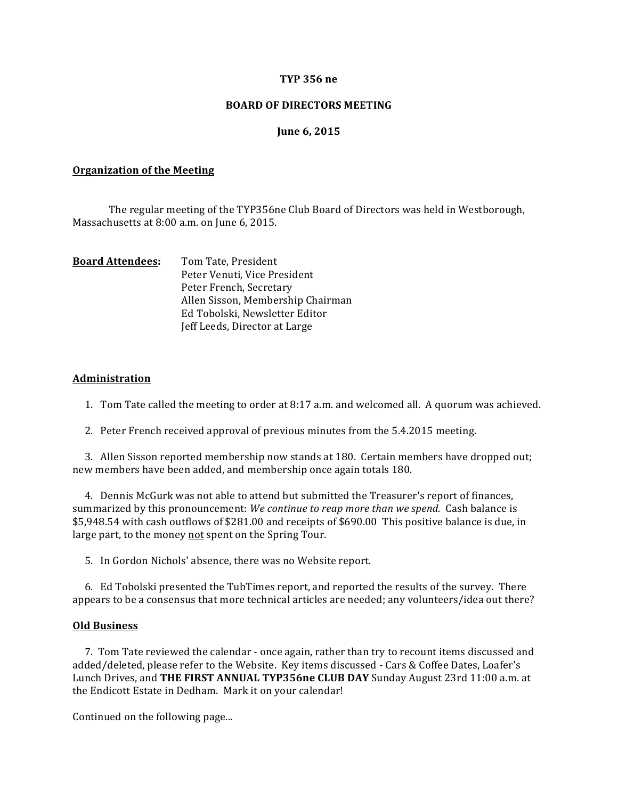### **TYP 356 ne**

### **BOARD OF DIRECTORS MEETING**

### **June 6, 2015**

#### **Organization of the Meeting**

The regular meeting of the TYP356ne Club Board of Directors was held in Westborough, Massachusetts at 8:00 a.m. on June 6, 2015.

| <b>Board Attendees:</b> | Tom Tate, President               |
|-------------------------|-----------------------------------|
|                         | Peter Venuti, Vice President      |
|                         | Peter French, Secretary           |
|                         | Allen Sisson, Membership Chairman |
|                         | Ed Tobolski, Newsletter Editor    |
|                         | Jeff Leeds, Director at Large     |

#### **Administration**

1. Tom Tate called the meeting to order at 8:17 a.m. and welcomed all. A quorum was achieved.

2. Peter French received approval of previous minutes from the 5.4.2015 meeting.

3. Allen Sisson reported membership now stands at 180. Certain members have dropped out; new members have been added, and membership once again totals 180.

4. Dennis McGurk was not able to attend but submitted the Treasurer's report of finances, summarized by this pronouncement: *We continue to reap more than we spend.* Cash balance is \$5,948.54 with cash outflows of \$281.00 and receipts of \$690.00 This positive balance is due, in large part, to the money not spent on the Spring Tour.

5. In Gordon Nichols' absence, there was no Website report.

6. Ed Tobolski presented the TubTimes report, and reported the results of the survey. There appears to be a consensus that more technical articles are needed; any volunteers/idea out there?

#### **Old Business**

7. Tom Tate reviewed the calendar - once again, rather than try to recount items discussed and added/deleted, please refer to the Website. Key items discussed - Cars & Coffee Dates, Loafer's Lunch Drives, and **THE FIRST ANNUAL TYP356ne CLUB DAY** Sunday August 23rd 11:00 a.m. at the Endicott Estate in Dedham. Mark it on your calendar!

Continued on the following page...